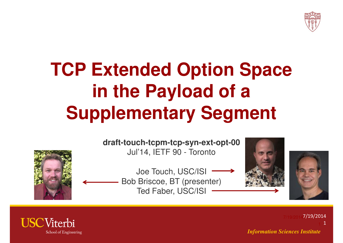

### **TCP Extended Option Space in the Payload of a Supplementary Segment**



**draft-touch-tcpm-tcp-syn-ext-opt-00**Jul'14, IETF 90 - Toronto

Joe Touch, USC/ISIBob Briscoe, BT (presenter)Ted Faber, USC/ISI





*Information Sciences Institute*7/19/2014**7/19/2014** 1

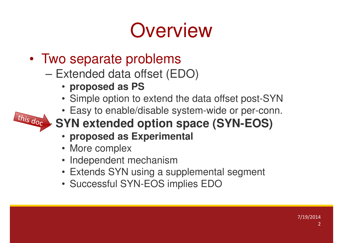## **Overview**

- • Two separate problems
	- Extended data offset (EDO)
		- **proposed as PS**
		- Simple option to extend the data offset post-SYN
		- Easy to enable/disable system-wide or per-conn.



- **SYN extended option space (SYN-EOS)**
	- **proposed as Experimental**
	- More complex
	- Independent mechanism
	- Extends SYN using a supplemental segment
	- Successful SYN-EOS implies EDO

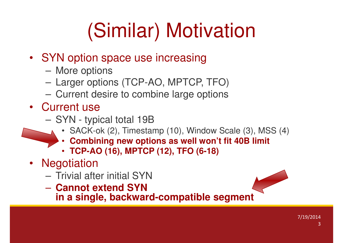# (Similar) Motivation

- SYN option space use increasing
	- $\mathcal{L}_{\mathcal{A}}$ More options
	- Larger options (TCP-AO, MPTCP, TFO)
	- Current desire to combine large options
- Current use
	- SYN tvr SYN - typical total 19B
		- SACK-ok (2), Timestamp (10), Window Scale (3), MSS (4)
		- •**Combining new options as well won't fit 40B limit**
		- **TCP-AO (16), MPTCP (12), TFO (6-18)**
- Negotiation
	- Trivial at Trivial after initial SYN
	- $-$  Lannot Aviano SVN **Cannot extend SYN**
	- **in a single, backward-compatible segment**

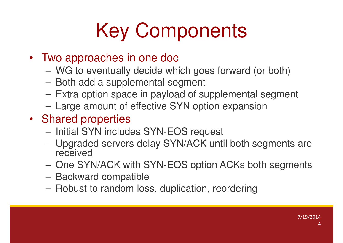# Key Components

- Two approaches in one doc
	- $\mathcal{L}_{\mathcal{A}}$ WG to eventually decide which goes forward (or both)
	- Both add a supplemental segment
	- Extra option space in payload of supplemental segment
	- Large amount of effective SYN option expansion
- Shared properties
	- Initial SYN includes SYN-EOS request
	- $\mathcal{L}_{\mathcal{A}}$  Upgraded servers delay SYN/ACK until both segments are received
	- $-$  One SV One SYN/ACK with SYN-EOS option ACKs both segments
	- Backward compatible
	- $-$  Robust to random Io Robust to random loss, duplication, reordering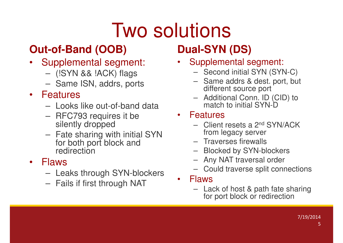## Two solutions

### **Out-of-Band (OOB)**

- Supplemental segment:
	- $\mathcal{L}_{\mathcal{A}}$  , and the set of  $\mathcal{L}_{\mathcal{A}}$ (!SYN && !ACK) flags
	- $\mathcal{L}_{\mathcal{A}}$  , and the set of  $\mathcal{L}_{\mathcal{A}}$ Same ISN, addrs, ports
- Features
	- $-$  1 noke Looks like out-of-band data
	- $\mathcal{L}_{\mathcal{A}}$  , and the set of  $\mathcal{L}_{\mathcal{A}}$  RFC793 requires it be silently dropped
	- Fato charing w Fate sharing with initial SYN for both port block and redirection

### • Flaws

- –Leaks through SYN-blockers
- $\mathcal{L}_{\mathcal{A}}$  , and the set of  $\mathcal{L}_{\mathcal{A}}$ Fails if first through NAT

### **Dual-SYN (DS)**

- • Supplemental segment:
	- Second initial SYN (SYN-C)
	- Same addrs & dest. port, but different source port
	- Additional Conn. ID (CID) to match to initial SYN-D

### • Features

- Clion Client resets a 2nd SYN/ACK from legacy server
- Traverses firewalls
- Rlockad by SVNLt Blocked by SYN-blockers
- Any NAT traversal order
- Could traverse split connections
- • Flaws
	- Lack of host & path fate sharing for port block or redirection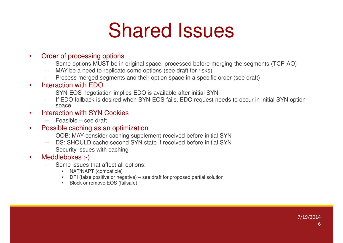### Shared Issues

### •Order of processing options

- Some options MUST be in original space, processed before merging the segments (TCP-AO)–
- –MAY be a need to replicate some options (see draft for risks)
- Process merged segments and their option space in a specific order (see draft)–

### •Interaction with EDO

- SYN-EOS negotiation implies EDO is available after initial SYN–
- If EDO fallback is desired when SYN-EOS fails, EDO request needs to occur in initial SYN option –space
- Interaction with SYN Cookies•
	- Feasible see draft
- • Possible caching as an optimization
	- OOB: MAY consider caching supplement received before initial SYN
	- DS: SHOULD cache second SYN state if received before initial SYN–
	- Security issues with caching
- • Meddleboxes ;-)
	- Some issues that affect all options: –
		- NAT/NAPT (compatible)
		- DPI (false positive or negative) see draft for proposed partial solution•
		- Block or remove EOS (failsafe)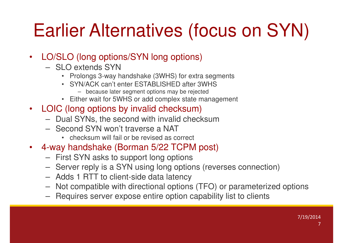### Earlier Alternatives (focus on SYN)

- LO/SLO (long options/SYN long options)
	- SLO extends SYN
		- Prolongs 3-way handshake (3WHS) for extra segments
		- SYN/ACK can't enter ESTABLISHED after 3WHS
			- because later segment options may be rejected
		- Either wait for 5WHS or add complex state management
- LOIC (long options by invalid checksum)
	- –Dual SYNs, the second with invalid checksum
	- Second SYN won't traverse a NAT
		- checksum will fail or be revised as correct
- $\bullet$  4-way handshake (Borman 5/22 TCPM post)
	- –First SYN asks to support long options
	- Sarvar ranly is a SVN using long optic Server reply is a SYN using long options (reverses connection)
	- Adds 1 RTT to client-side data latency
	- $-$  Not compatible with directional option Not compatible with directional options (TFO) or parameterized options
	- –Requires server expose entire option capability list to clients